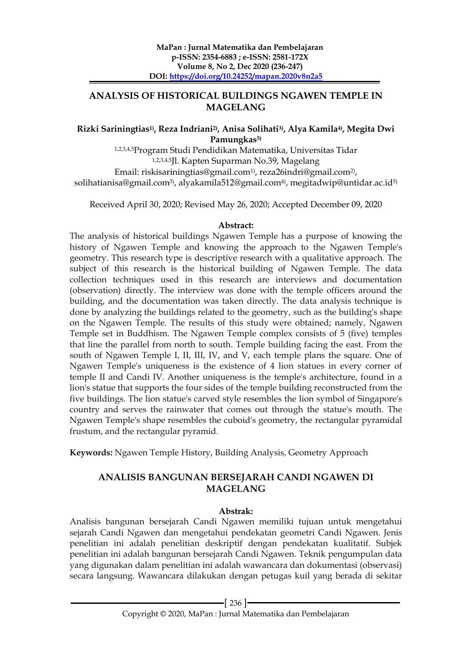# **ANALYSIS OF HISTORICAL BUILDINGS NGAWEN TEMPLE IN MAGELANG**

#### **Rizki Sariningtias1) , Reza Indriani2), Anisa Solihati3) , Alya Kamila4) , Megita Dwi Pamungkas5)**

1,2,3,4,5Program Studi Pendidikan Matematika, Universitas Tidar 1,2,3,4,5Jl. Kapten Suparman No.39, Magelang Email: riskisariningtias@gmail.com½, reza26indri@gmail.com2), solihatianisa@gmail.com3) , alyakamila512@gmail.com4) , megitadwip@untidar.ac.id5)

Received April 30, 2020; Revised May 26, 2020; Accepted December 09, 2020

#### **Abstract:**

The analysis of historical buildings Ngawen Temple has a purpose of knowing the history of Ngawen Temple and knowing the approach to the Ngawen Temple's geometry. This research type is descriptive research with a qualitative approach. The subject of this research is the historical building of Ngawen Temple. The data collection techniques used in this research are interviews and documentation (observation) directly. The interview was done with the temple officers around the building, and the documentation was taken directly. The data analysis technique is done by analyzing the buildings related to the geometry, such as the building's shape on the Ngawen Temple. The results of this study were obtained; namely, Ngawen Temple set in Buddhism. The Ngawen Temple complex consists of 5 (five) temples that line the parallel from north to south. Temple building facing the east. From the south of Ngawen Temple I, II, III, IV, and V, each temple plans the square. One of Ngawen Temple's uniqueness is the existence of 4 lion statues in every corner of temple II and Candi IV. Another uniqueness is the temple's architecture, found in a lion's statue that supports the four sides of the temple building reconstructed from the five buildings. The lion statue's carved style resembles the lion symbol of Singapore's country and serves the rainwater that comes out through the statue's mouth. The Ngawen Temple's shape resembles the cuboid's geometry, the rectangular pyramidal frustum, and the rectangular pyramid.

**Keywords:** Ngawen Temple History, Building Analysis, Geometry Approach

# **ANALISIS BANGUNAN BERSEJARAH CANDI NGAWEN DI MAGELANG**

### **Abstrak:**

Analisis bangunan bersejarah Candi Ngawen memiliki tujuan untuk mengetahui sejarah Candi Ngawen dan mengetahui pendekatan geometri Candi Ngawen. Jenis penelitian ini adalah penelitian deskriptif dengan pendekatan kualitatif. Subjek penelitian ini adalah bangunan bersejarah Candi Ngawen. Teknik pengumpulan data yang digunakan dalam penelitian ini adalah wawancara dan dokumentasi (observasi) secara langsung. Wawancara dilakukan dengan petugas kuil yang berada di sekitar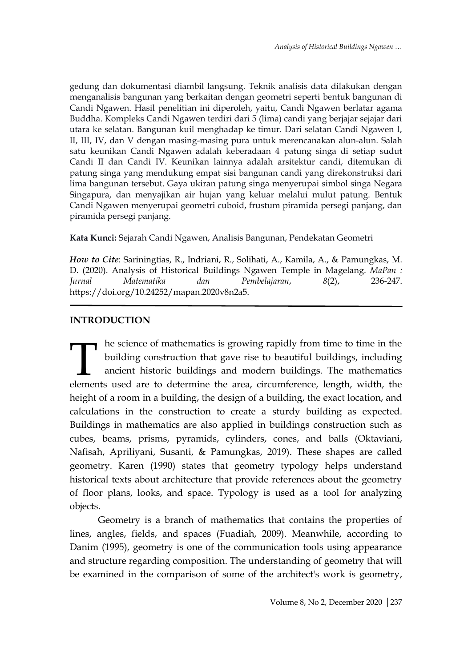gedung dan dokumentasi diambil langsung. Teknik analisis data dilakukan dengan menganalisis bangunan yang berkaitan dengan geometri seperti bentuk bangunan di Candi Ngawen. Hasil penelitian ini diperoleh, yaitu, Candi Ngawen berlatar agama Buddha. Kompleks Candi Ngawen terdiri dari 5 (lima) candi yang berjajar sejajar dari utara ke selatan. Bangunan kuil menghadap ke timur. Dari selatan Candi Ngawen I, II, III, IV, dan V dengan masing-masing pura untuk merencanakan alun-alun. Salah satu keunikan Candi Ngawen adalah keberadaan 4 patung singa di setiap sudut Candi II dan Candi IV. Keunikan lainnya adalah arsitektur candi, ditemukan di patung singa yang mendukung empat sisi bangunan candi yang direkonstruksi dari lima bangunan tersebut. Gaya ukiran patung singa menyerupai simbol singa Negara Singapura, dan menyajikan air hujan yang keluar melalui mulut patung. Bentuk Candi Ngawen menyerupai geometri cuboid, frustum piramida persegi panjang, dan piramida persegi panjang.

**Kata Kunci:** Sejarah Candi Ngawen, Analisis Bangunan, Pendekatan Geometri

*How to Cite*: Sariningtias, R., Indriani, R., Solihati, A., Kamila, A., & Pamungkas, M. D. (2020). Analysis of Historical Buildings Ngawen Temple in Magelang. *MaPan : Jurnal Matematika dan Pembelajaran*, *8*(2), 236-247. https://doi.org/10.24252/mapan.2020v8n2a5.

# **INTRODUCTION**

he science of mathematics is growing rapidly from time to time in the building construction that gave rise to beautiful buildings, including ancient historic buildings and modern buildings. The mathematics The science of mathematics is growing rapidly from time to time in the building construction that gave rise to beautiful buildings, including ancient historic buildings and modern buildings. The mathematics elements used a height of a room in a building, the design of a building, the exact location, and calculations in the construction to create a sturdy building as expected. Buildings in mathematics are also applied in buildings construction such as cubes, beams, prisms, pyramids, cylinders, cones, and balls (Oktaviani, Nafisah, Apriliyani, Susanti, & Pamungkas, 2019). These shapes are called geometry. Karen (1990) states that geometry typology helps understand historical texts about architecture that provide references about the geometry of floor plans, looks, and space. Typology is used as a tool for analyzing objects.

Geometry is a branch of mathematics that contains the properties of lines, angles, fields, and spaces (Fuadiah, 2009). Meanwhile, according to Danim (1995), geometry is one of the communication tools using appearance and structure regarding composition. The understanding of geometry that will be examined in the comparison of some of the architect's work is geometry,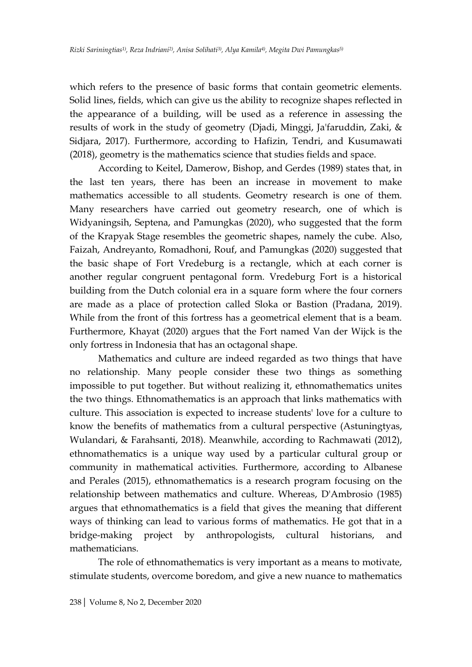which refers to the presence of basic forms that contain geometric elements. Solid lines, fields, which can give us the ability to recognize shapes reflected in the appearance of a building, will be used as a reference in assessing the results of work in the study of geometry (Djadi, Minggi, Ja'faruddin, Zaki, & Sidjara, 2017). Furthermore, according to Hafizin, Tendri, and Kusumawati (2018), geometry is the mathematics science that studies fields and space.

According to Keitel, Damerow, Bishop, and Gerdes (1989) states that, in the last ten years, there has been an increase in movement to make mathematics accessible to all students. Geometry research is one of them. Many researchers have carried out geometry research, one of which is Widyaningsih, Septena, and Pamungkas (2020), who suggested that the form of the Krapyak Stage resembles the geometric shapes, namely the cube. Also, Faizah, Andreyanto, Romadhoni, Rouf, and Pamungkas (2020) suggested that the basic shape of Fort Vredeburg is a rectangle, which at each corner is another regular congruent pentagonal form. Vredeburg Fort is a historical building from the Dutch colonial era in a square form where the four corners are made as a place of protection called Sloka or Bastion (Pradana, 2019). While from the front of this fortress has a geometrical element that is a beam. Furthermore, Khayat (2020) argues that the Fort named Van der Wijck is the only fortress in Indonesia that has an octagonal shape.

Mathematics and culture are indeed regarded as two things that have no relationship. Many people consider these two things as something impossible to put together. But without realizing it, ethnomathematics unites the two things. Ethnomathematics is an approach that links mathematics with culture. This association is expected to increase students' love for a culture to know the benefits of mathematics from a cultural perspective (Astuningtyas, Wulandari, & Farahsanti, 2018). Meanwhile, according to Rachmawati (2012), ethnomathematics is a unique way used by a particular cultural group or community in mathematical activities. Furthermore, according to Albanese and Perales (2015), ethnomathematics is a research program focusing on the relationship between mathematics and culture. Whereas, D'Ambrosio (1985) argues that ethnomathematics is a field that gives the meaning that different ways of thinking can lead to various forms of mathematics. He got that in a bridge-making project by anthropologists, cultural historians, and mathematicians.

The role of ethnomathematics is very important as a means to motivate, stimulate students, overcome boredom, and give a new nuance to mathematics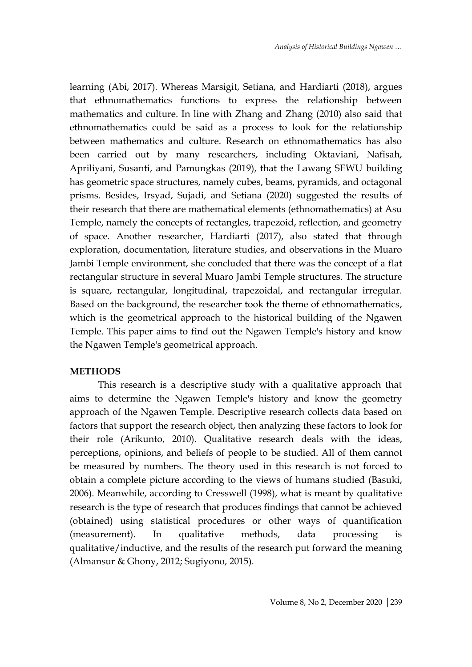learning (Abi, 2017). Whereas Marsigit, Setiana, and Hardiarti (2018), argues that ethnomathematics functions to express the relationship between mathematics and culture. In line with Zhang and Zhang (2010) also said that ethnomathematics could be said as a process to look for the relationship between mathematics and culture. Research on ethnomathematics has also been carried out by many researchers, including Oktaviani, Nafisah, Apriliyani, Susanti, and Pamungkas (2019), that the Lawang SEWU building has geometric space structures, namely cubes, beams, pyramids, and octagonal prisms. Besides, Irsyad, Sujadi, and Setiana (2020) suggested the results of their research that there are mathematical elements (ethnomathematics) at Asu Temple, namely the concepts of rectangles, trapezoid, reflection, and geometry of space. Another researcher, Hardiarti (2017), also stated that through exploration, documentation, literature studies, and observations in the Muaro Jambi Temple environment, she concluded that there was the concept of a flat rectangular structure in several Muaro Jambi Temple structures. The structure is square, rectangular, longitudinal, trapezoidal, and rectangular irregular. Based on the background, the researcher took the theme of ethnomathematics, which is the geometrical approach to the historical building of the Ngawen Temple. This paper aims to find out the Ngawen Temple's history and know the Ngawen Temple's geometrical approach.

#### **METHODS**

This research is a descriptive study with a qualitative approach that aims to determine the Ngawen Temple's history and know the geometry approach of the Ngawen Temple. Descriptive research collects data based on factors that support the research object, then analyzing these factors to look for their role (Arikunto, 2010). Qualitative research deals with the ideas, perceptions, opinions, and beliefs of people to be studied. All of them cannot be measured by numbers. The theory used in this research is not forced to obtain a complete picture according to the views of humans studied (Basuki, 2006). Meanwhile, according to Cresswell (1998), what is meant by qualitative research is the type of research that produces findings that cannot be achieved (obtained) using statistical procedures or other ways of quantification (measurement). In qualitative methods, data processing is qualitative/inductive, and the results of the research put forward the meaning (Almansur & Ghony, 2012; Sugiyono, 2015).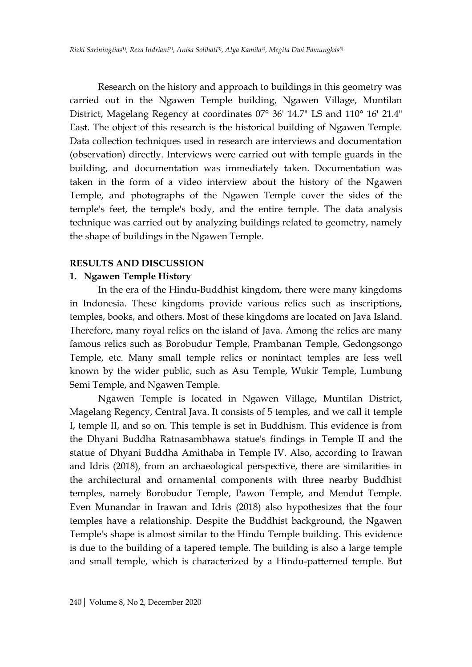Research on the history and approach to buildings in this geometry was carried out in the Ngawen Temple building, Ngawen Village, Muntilan District, Magelang Regency at coordinates 07° 36' 14.7" LS and 110° 16' 21.4" East. The object of this research is the historical building of Ngawen Temple. Data collection techniques used in research are interviews and documentation (observation) directly. Interviews were carried out with temple guards in the building, and documentation was immediately taken. Documentation was taken in the form of a video interview about the history of the Ngawen Temple, and photographs of the Ngawen Temple cover the sides of the temple's feet, the temple's body, and the entire temple. The data analysis technique was carried out by analyzing buildings related to geometry, namely the shape of buildings in the Ngawen Temple.

### **RESULTS AND DISCUSSION**

### **1. Ngawen Temple History**

In the era of the Hindu-Buddhist kingdom, there were many kingdoms in Indonesia. These kingdoms provide various relics such as inscriptions, temples, books, and others. Most of these kingdoms are located on Java Island. Therefore, many royal relics on the island of Java. Among the relics are many famous relics such as Borobudur Temple, Prambanan Temple, Gedongsongo Temple, etc. Many small temple relics or nonintact temples are less well known by the wider public, such as Asu Temple, Wukir Temple, Lumbung Semi Temple, and Ngawen Temple.

Ngawen Temple is located in Ngawen Village, Muntilan District, Magelang Regency, Central Java. It consists of 5 temples, and we call it temple I, temple II, and so on. This temple is set in Buddhism. This evidence is from the Dhyani Buddha Ratnasambhawa statue's findings in Temple II and the statue of Dhyani Buddha Amithaba in Temple IV. Also, according to Irawan and Idris (2018), from an archaeological perspective, there are similarities in the architectural and ornamental components with three nearby Buddhist temples, namely Borobudur Temple, Pawon Temple, and Mendut Temple. Even Munandar in Irawan and Idris (2018) also hypothesizes that the four temples have a relationship. Despite the Buddhist background, the Ngawen Temple's shape is almost similar to the Hindu Temple building. This evidence is due to the building of a tapered temple. The building is also a large temple and small temple, which is characterized by a Hindu-patterned temple. But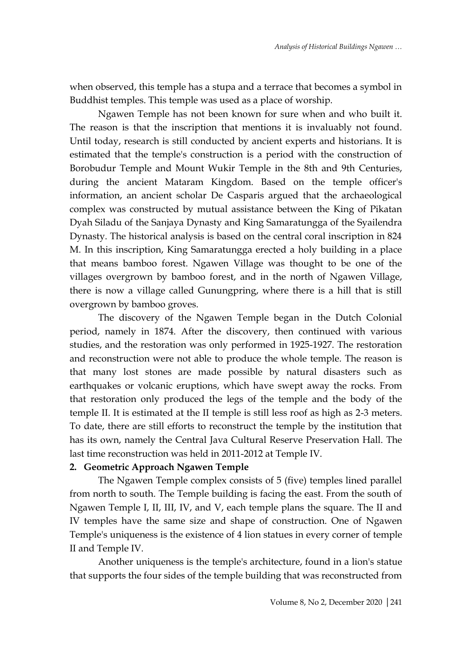when observed, this temple has a stupa and a terrace that becomes a symbol in Buddhist temples. This temple was used as a place of worship.

Ngawen Temple has not been known for sure when and who built it. The reason is that the inscription that mentions it is invaluably not found. Until today, research is still conducted by ancient experts and historians. It is estimated that the temple's construction is a period with the construction of Borobudur Temple and Mount Wukir Temple in the 8th and 9th Centuries, during the ancient Mataram Kingdom. Based on the temple officer's information, an ancient scholar De Casparis argued that the archaeological complex was constructed by mutual assistance between the King of Pikatan Dyah Siladu of the Sanjaya Dynasty and King Samaratungga of the Syailendra Dynasty. The historical analysis is based on the central coral inscription in 824 M. In this inscription, King Samaratungga erected a holy building in a place that means bamboo forest. Ngawen Village was thought to be one of the villages overgrown by bamboo forest, and in the north of Ngawen Village, there is now a village called Gunungpring, where there is a hill that is still overgrown by bamboo groves.

The discovery of the Ngawen Temple began in the Dutch Colonial period, namely in 1874. After the discovery, then continued with various studies, and the restoration was only performed in 1925-1927. The restoration and reconstruction were not able to produce the whole temple. The reason is that many lost stones are made possible by natural disasters such as earthquakes or volcanic eruptions, which have swept away the rocks. From that restoration only produced the legs of the temple and the body of the temple II. It is estimated at the II temple is still less roof as high as 2-3 meters. To date, there are still efforts to reconstruct the temple by the institution that has its own, namely the Central Java Cultural Reserve Preservation Hall. The last time reconstruction was held in 2011-2012 at Temple IV.

### **2. Geometric Approach Ngawen Temple**

The Ngawen Temple complex consists of 5 (five) temples lined parallel from north to south. The Temple building is facing the east. From the south of Ngawen Temple I, II, III, IV, and V, each temple plans the square. The II and IV temples have the same size and shape of construction. One of Ngawen Temple's uniqueness is the existence of 4 lion statues in every corner of temple II and Temple IV.

Another uniqueness is the temple's architecture, found in a lion's statue that supports the four sides of the temple building that was reconstructed from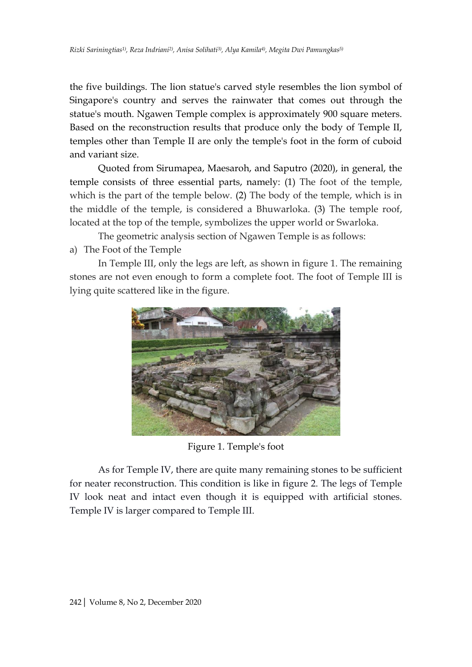the five buildings. The lion statue's carved style resembles the lion symbol of Singapore's country and serves the rainwater that comes out through the statue's mouth. Ngawen Temple complex is approximately 900 square meters. Based on the reconstruction results that produce only the body of Temple II, temples other than Temple II are only the temple's foot in the form of cuboid and variant size.

Quoted from Sirumapea, Maesaroh, and Saputro (2020), in general, the temple consists of three essential parts, namely: (1) The foot of the temple, which is the part of the temple below. (2) The body of the temple, which is in the middle of the temple, is considered a Bhuwarloka. (3) The temple roof, located at the top of the temple, symbolizes the upper world or Swarloka.

The geometric analysis section of Ngawen Temple is as follows:

a) The Foot of the Temple

In Temple III, only the legs are left, as shown in figure 1. The remaining stones are not even enough to form a complete foot. The foot of Temple III is lying quite scattered like in the figure.



Figure 1. Temple's foot

As for Temple IV, there are quite many remaining stones to be sufficient for neater reconstruction. This condition is like in figure 2. The legs of Temple IV look neat and intact even though it is equipped with artificial stones. Temple IV is larger compared to Temple III.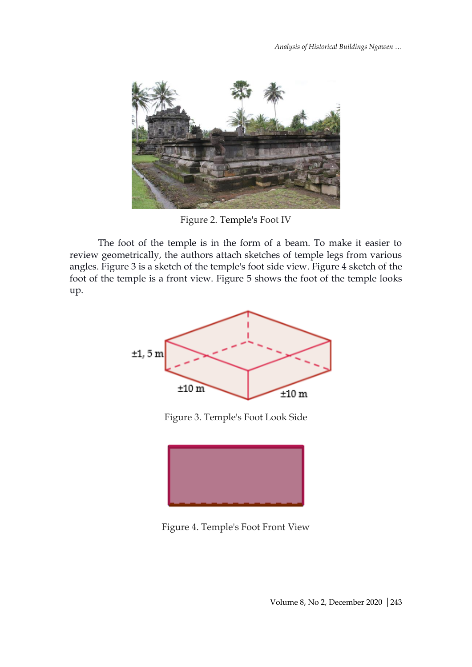

Figure 2. Temple's Foot IV

The foot of the temple is in the form of a beam. To make it easier to review geometrically, the authors attach sketches of temple legs from various angles. Figure 3 is a sketch of the temple's foot side view. Figure 4 sketch of the foot of the temple is a front view. Figure 5 shows the foot of the temple looks up.



Figure 3. Temple's Foot Look Side



Figure 4. Temple's Foot Front View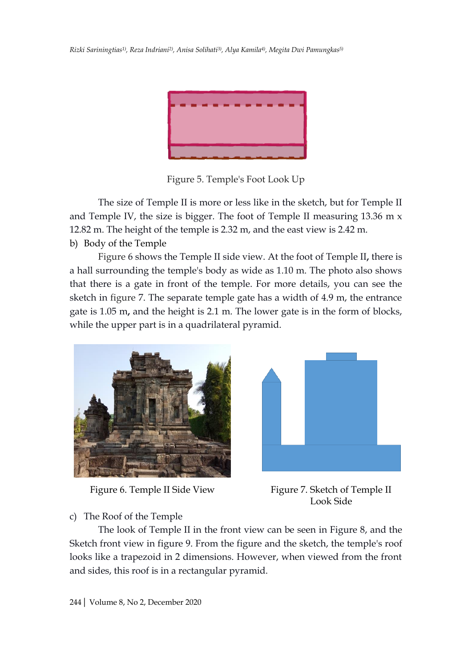

Figure 5. Temple's Foot Look Up

The size of Temple II is more or less like in the sketch, but for Temple II and Temple IV, the size is bigger. The foot of Temple II measuring 13.36 m x 12.82 m. The height of the temple is 2.32 m, and the east view is 2.42 m. b) Body of the Temple

Figure 6 shows the Temple II side view. At the foot of Temple II**,** there is a hall surrounding the temple's body as wide as 1.10 m. The photo also shows that there is a gate in front of the temple. For more details, you can see the sketch in figure 7. The separate temple gate has a width of 4.9 m, the entrance gate is 1.05 m**,** and the height is 2.1 m. The lower gate is in the form of blocks, while the upper part is in a quadrilateral pyramid.



Figure 6. Temple II Side View



Figure 7. Sketch of Temple II Look Side

c) The Roof of the Temple

The look of Temple II in the front view can be seen in Figure 8, and the Sketch front view in figure 9. From the figure and the sketch, the temple's roof looks like a trapezoid in 2 dimensions. However, when viewed from the front and sides, this roof is in a rectangular pyramid.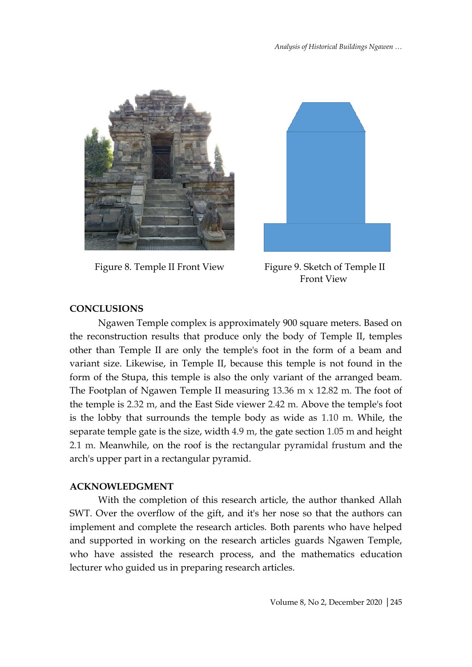

Figure 8. Temple II Front View Figure 9. Sketch of Temple II



Front View

# **CONCLUSIONS**

Ngawen Temple complex is approximately 900 square meters. Based on the reconstruction results that produce only the body of Temple II, temples other than Temple II are only the temple's foot in the form of a beam and variant size. Likewise, in Temple II, because this temple is not found in the form of the Stupa, this temple is also the only variant of the arranged beam. The Footplan of Ngawen Temple II measuring 13.36 m x 12.82 m. The foot of the temple is 2.32 m, and the East Side viewer 2.42 m. Above the temple's foot is the lobby that surrounds the temple body as wide as 1.10 m. While, the separate temple gate is the size, width 4.9 m, the gate section 1.05 m and height 2.1 m. Meanwhile, on the roof is the rectangular pyramidal frustum and the arch's upper part in a rectangular pyramid.

#### **ACKNOWLEDGMENT**

With the completion of this research article, the author thanked Allah SWT. Over the overflow of the gift, and it's her nose so that the authors can implement and complete the research articles. Both parents who have helped and supported in working on the research articles guards Ngawen Temple, who have assisted the research process, and the mathematics education lecturer who guided us in preparing research articles.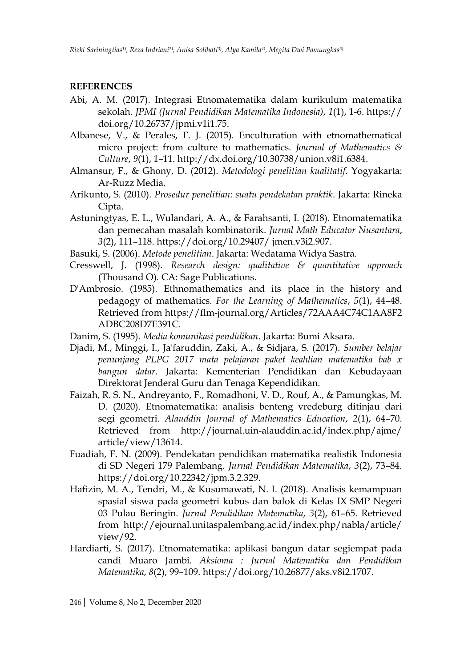### **REFERENCES**

- Abi, A. M. (2017). Integrasi Etnomatematika dalam kurikulum matematika sekolah. *JPMI (Jurnal Pendidikan Matematika Indonesia)*, *1*(1), 1-6. https:// doi.org/10.26737/jpmi.v1i1.75.
- Albanese, V., & Perales, F. J. (2015). Enculturation with etnomathematical micro project: from culture to mathematics. *Journal of Mathematics & Culture*, *9*(1), 1–11. http://dx.doi.org/10.30738/union.v8i1.6384.
- Almansur, F., & Ghony, D. (2012). *Metodologi penelitian kualitatif*. Yogyakarta: Ar-Ruzz Media.
- Arikunto, S. (2010). *Prosedur penelitian: suatu pendekatan praktik*. Jakarta: Rineka Cipta.
- Astuningtyas, E. L., Wulandari, A. A., & Farahsanti, I. (2018). Etnomatematika dan pemecahan masalah kombinatorik. *Jurnal Math Educator Nusantara*, *3*(2), 111–118. https://doi.org/10.29407/ jmen.v3i2.907.
- Basuki, S. (2006). *Metode penelitian*. Jakarta: Wedatama Widya Sastra.
- Cresswell, J. (1998). *Research design: qualitative & quantitative approach* (Thousand O). CA: Sage Publications.
- D'Ambrosio. (1985). Ethnomathematics and its place in the history and pedagogy of mathematics. *For the Learning of Mathematics*, *5*(1), 44–48. Retrieved from https://flm-journal.org/Articles/72AAA4C74C1AA8F2 ADBC208D7E391C.
- Danim, S. (1995). *Media komunikasi pendidikan*. Jakarta: Bumi Aksara.
- Djadi, M., Minggi, I., Ja'faruddin, Zaki, A., & Sidjara, S. (2017). *Sumber belajar penunjang PLPG 2017 mata pelajaran paket keahlian matematika bab x bangun datar*. Jakarta: Kementerian Pendidikan dan Kebudayaan Direktorat Jenderal Guru dan Tenaga Kependidikan.
- Faizah, R. S. N., Andreyanto, F., Romadhoni, V. D., Rouf, A., & Pamungkas, M. D. (2020). Etnomatematika: analisis benteng vredeburg ditinjau dari segi geometri. *Alauddin Journal of Mathematics Education*, *2*(1), 64–70. Retrieved from http://journal.uin-alauddin.ac.id/index.php/ajme/ article/view/13614.
- Fuadiah, F. N. (2009). Pendekatan pendidikan matematika realistik Indonesia di SD Negeri 179 Palembang. *Jurnal Pendidikan Matematika*, *3*(2), 73–84. https://doi.org/10.22342/jpm.3.2.329.
- Hafizin, M. A., Tendri, M., & Kusumawati, N. I. (2018). Analisis kemampuan spasial siswa pada geometri kubus dan balok di Kelas IX SMP Negeri 03 Pulau Beringin. *Jurnal Pendidikan Matematika*, *3*(2), 61–65. Retrieved from http://ejournal.unitaspalembang.ac.id/index.php/nabla/article/ view/92.
- Hardiarti, S. (2017). Etnomatematika: aplikasi bangun datar segiempat pada candi Muaro Jambi. *Aksioma : Jurnal Matematika dan Pendidikan Matematika*, *8*(2), 99–109. https://doi.org/10.26877/aks.v8i2.1707.